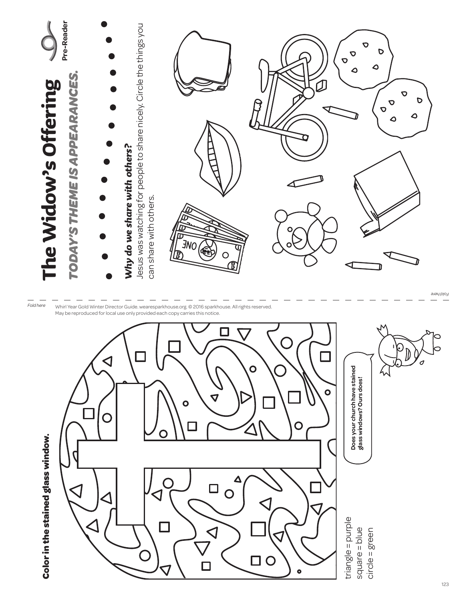

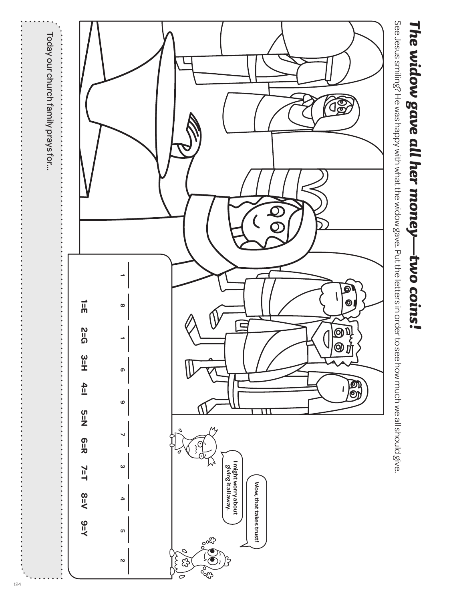

The widow gave all her money—two coins! *The widow gave all her money—two coins!*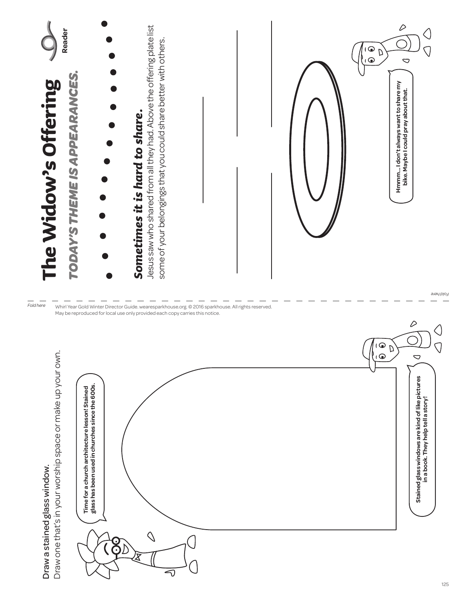